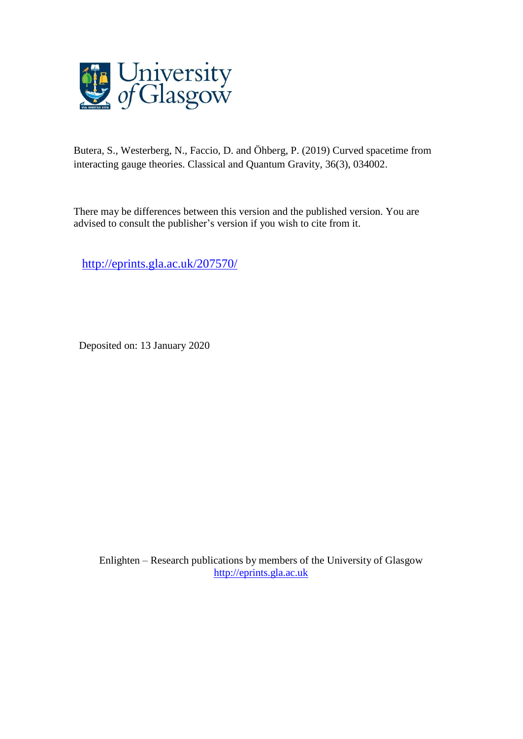

Butera, S., Westerberg, N., Faccio, D. and Öhberg, P. (2019) Curved spacetime from interacting gauge theories. Classical and Quantum Gravity, 36(3), 034002.

There may be differences between this version and the published version. You are advised to consult the publisher's version if you wish to cite from it.

<http://eprints.gla.ac.uk/207570/>

Deposited on: 13 January 2020

Enlighten – Research publications by members of the University of Glasgow [http://eprints.gla.ac.uk](http://eprints.gla.ac.uk/)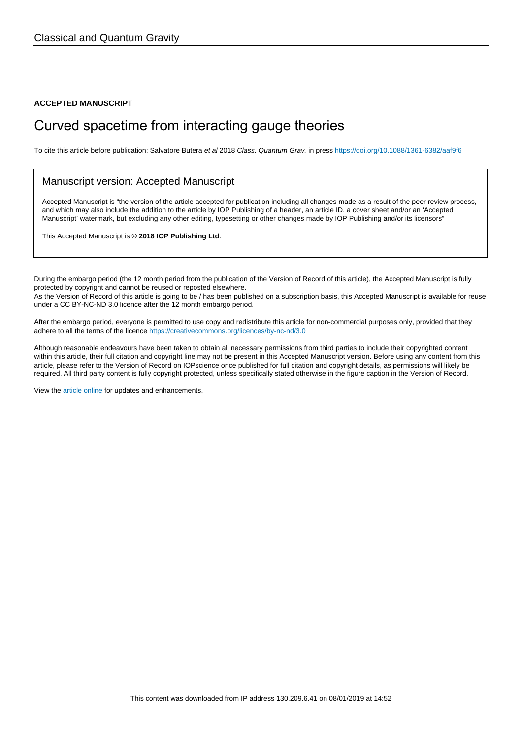#### **ACCEPTED MANUSCRIPT**

# Curved spacetime from interacting gauge theories

To cite this article before publication: Salvatore Butera et al 2018 Class. Quantum Grav. in press <https://doi.org/10.1088/1361-6382/aaf9f6>

## Manuscript version: Accepted Manuscript

Accepted Manuscript is "the version of the article accepted for publication including all changes made as a result of the peer review process, and which may also include the addition to the article by IOP Publishing of a header, an article ID, a cover sheet and/or an 'Accepted Manuscript' watermark, but excluding any other editing, typesetting or other changes made by IOP Publishing and/or its licensors"

This Accepted Manuscript is **© 2018 IOP Publishing Ltd**.

During the embargo period (the 12 month period from the publication of the Version of Record of this article), the Accepted Manuscript is fully protected by copyright and cannot be reused or reposted elsewhere. As the Version of Record of this article is going to be / has been published on a subscription basis, this Accepted Manuscript is available for reuse under a CC BY-NC-ND 3.0 licence after the 12 month embargo period.

After the embargo period, everyone is permitted to use copy and redistribute this article for non-commercial purposes only, provided that they adhere to all the terms of the licence <https://creativecommons.org/licences/by-nc-nd/3.0>

Although reasonable endeavours have been taken to obtain all necessary permissions from third parties to include their copyrighted content within this article, their full citation and copyright line may not be present in this Accepted Manuscript version. Before using any content from this article, please refer to the Version of Record on IOPscience once published for full citation and copyright details, as permissions will likely be required. All third party content is fully copyright protected, unless specifically stated otherwise in the figure caption in the Version of Record.

View the [article online](https://doi.org/10.1088/1361-6382/aaf9f6) for updates and enhancements.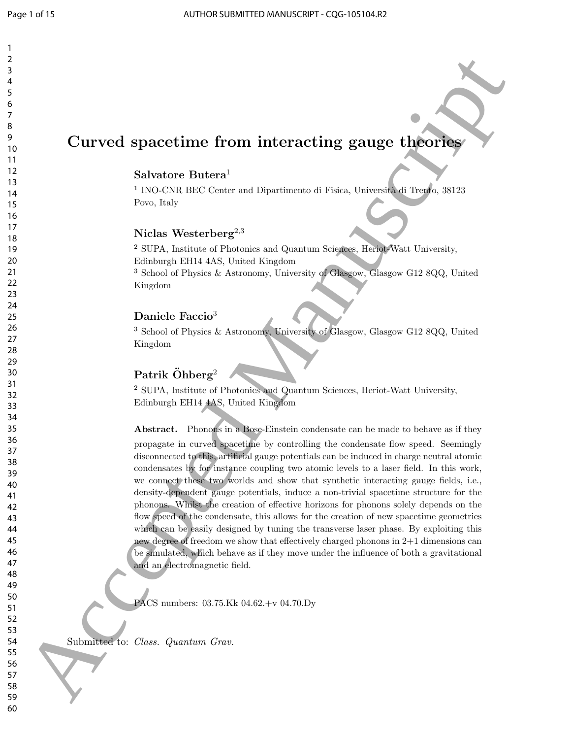# Curved spacetime from interacting gauge theories

## Salvatore Butera<sup>1</sup>

<sup>1</sup> INO-CNR BEC Center and Dipartimento di Fisica, Università di Trento, 38123 Povo, Italy

## Niclas Westerberg<sup>2,3</sup>

 SUPA, Institute of Photonics and Quantum Sciences, Heriot-Watt University, Edinburgh EH14 4AS, United Kingdom School of Physics & Astronomy, University of Glasgow, Glasgow G12 8QQ, United Kingdom

## Daniele Faccio<sup>3</sup>

 School of Physics & Astronomy, University of Glasgow, Glasgow G12 8QQ, United Kingdom

# Patrik  $\ddot{\text{O}}$ hberg<sup>2</sup>

 SUPA, Institute of Photonics and Quantum Sciences, Heriot-Watt University, Edinburgh EH14 4AS, United Kingdom

Abstract. Phonons in a Bose-Einstein condensate can be made to behave as if they propagate in curved spacetime by controlling the condensate flow speed. Seemingly disconnected to this, artificial gauge potentials can be induced in charge neutral atomic condensates by for instance coupling two atomic levels to a laser field. In this work, we connect these two worlds and show that synthetic interacting gauge fields, i.e., density-dependent gauge potentials, induce a non-trivial spacetime structure for the phonons. Whilst the creation of effective horizons for phonons solely depends on the flow speed of the condensate, this allows for the creation of new spacetime geometries which can be easily designed by tuning the transverse laser phase. By exploiting this new degree of freedom we show that effectively charged phonons in 2+1 dimensions can be simulated, which behave as if they move under the influence of both a gravitational and an electromagnetic field. **Curved spacetime from interacting gauge theories**<br>  $\frac{2}{3}$ <br>  $\frac{2}{3}$ <br>  $\frac{2}{3}$ <br>  $\frac{2}{3}$ <br>  $\frac{2}{3}$ <br>  $\frac{2}{3}$ <br>  $\frac{2}{3}$ <br>  $\frac{2}{3}$ <br>  $\frac{2}{3}$ <br>  $\frac{2}{3}$ <br>  $\frac{2}{3}$ <br>  $\frac{2}{3}$ <br>  $\frac{2}{3}$ <br>  $\frac{2}{3}$ <br>  $\frac{2}{3}$ <br>  $\frac{$ 

PACS numbers: 03.75.Kk 04.62.+v 04.70.Dy

Submitted to: Class. Quantum Grav.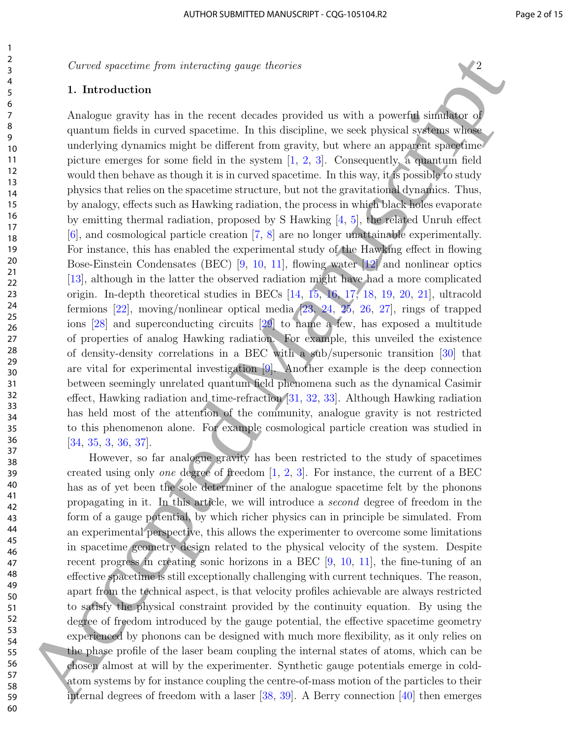### 1. Introduction

Analogue gravity has in the recent decades provided us with a powerful simulator of quantum fields in curved spacetime. In this discipline, we seek physical systems whose underlying dynamics might be different from gravity, but where an apparent spacetime picture emerges for some field in the system [1, 2, 3]. Consequently, a quantum field would then behave as though it is in curved spacetime. In this way, it is possible to study physics that relies on the spacetime structure, but not the gravitational dynamics. Thus, by analogy, effects such as Hawking radiation, the process in which black holes evaporate by emitting thermal radiation, proposed by S Hawking [4, 5], the related Unruh effect [6], and cosmological particle creation [7, 8] are no longer unattainable experimentally. For instance, this has enabled the experimental study of the Hawking effect in flowing Bose-Einstein Condensates (BEC) [9, 10, 11], flowing water [12] and nonlinear optics [13], although in the latter the observed radiation might have had a more complicated origin. In-depth theoretical studies in BECs  $[14, 15, 16, 17, 18, 19, 20, 21]$ , ultracold fermions [22], moving/nonlinear optical media [23, 24, 25, 26, 27], rings of trapped ions [28] and superconducting circuits [29] to name a few, has exposed a multitude of properties of analog Hawking radiation. For example, this unveiled the existence of density-density correlations in a BEC with a sub/supersonic transition [30] that are vital for experimental investigation [9]. Another example is the deep connection between seemingly unrelated quantum field phenomena such as the dynamical Casimir effect, Hawking radiation and time-refraction [31, 32, 33]. Although Hawking radiation has held most of the attention of the community, analogue gravity is not restricted to this phenomenon alone. For example cosmological particle creation was studied in [34, 35, 3, 36, 37]. Correct agachtime from the<br>random point of the state of the state of the state of the state of the<br>state of the state of the state of the state of the state of the state<br>of the state of the state of the state of the state

However, so far analogue gravity has been restricted to the study of spacetimes created using only *one* degree of freedom  $[1, 2, 3]$ . For instance, the current of a BEC has as of yet been the sole determiner of the analogue spacetime felt by the phonons propagating in it. In this article, we will introduce a second degree of freedom in the form of a gauge potential, by which richer physics can in principle be simulated. From an experimental perspective, this allows the experimenter to overcome some limitations in spacetime geometry design related to the physical velocity of the system. Despite recent progress in creating sonic horizons in a BEC  $[9, 10, 11]$ , the fine-tuning of an effective spacetime is still exceptionally challenging with current techniques. The reason, apart from the technical aspect, is that velocity profiles achievable are always restricted to satisfy the physical constraint provided by the continuity equation. By using the degree of freedom introduced by the gauge potential, the effective spacetime geometry experienced by phonons can be designed with much more flexibility, as it only relies on the phase profile of the laser beam coupling the internal states of atoms, which can be chosen almost at will by the experimenter. Synthetic gauge potentials emerge in coldatom systems by for instance coupling the centre-of-mass motion of the particles to their internal degrees of freedom with a laser [38, 39]. A Berry connection [40] then emerges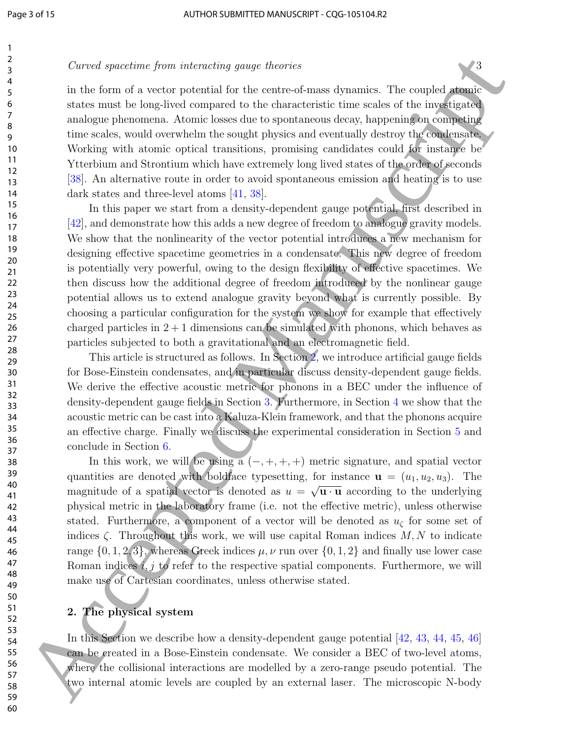in the form of a vector potential for the centre-of-mass dynamics. The coupled atomic states must be long-lived compared to the characteristic time scales of the investigated analogue phenomena. Atomic losses due to spontaneous decay, happening on competing time scales, would overwhelm the sought physics and eventually destroy the condensate. Working with atomic optical transitions, promising candidates could for instance be Ytterbium and Strontium which have extremely long lived states of the order of seconds [38]. An alternative route in order to avoid spontaneous emission and heating is to use dark states and three-level atoms [41, 38].

In this paper we start from a density-dependent gauge potential, first described in [42], and demonstrate how this adds a new degree of freedom to analogue gravity models. We show that the nonlinearity of the vector potential introduces a new mechanism for designing effective spacetime geometries in a condensate. This new degree of freedom is potentially very powerful, owing to the design flexibility of effective spacetimes. We then discuss how the additional degree of freedom introduced by the nonlinear gauge potential allows us to extend analogue gravity beyond what is currently possible. By choosing a particular configuration for the system we show for example that effectively charged particles in  $2+1$  dimensions can be simulated with phonons, which behaves as particles subjected to both a gravitational and an electromagnetic field. Correct agachettres from interacting gange factorics<br>  $\frac{2}{3}$  in the form of a static projection for the caster and the static static static static static static static static static static static static static static s

This article is structured as follows. In Section 2, we introduce artificial gauge fields for Bose-Einstein condensates, and in particular discuss density-dependent gauge fields. We derive the effective acoustic metric for phonons in a BEC under the influence of density-dependent gauge fields in Section 3. Furthermore, in Section 4 we show that the acoustic metric can be cast into a Kaluza-Klein framework, and that the phonons acquire an effective charge. Finally we discuss the experimental consideration in Section 5 and conclude in Section 6.

In this work, we will be using a  $(-, +, +, +)$  metric signature, and spatial vector quantities are denoted with boldface typesetting, for instance  $\mathbf{u} = (u_1, u_2, u_3)$ . The magnitude of a spatial vector is denoted as  $u = \sqrt{u \cdot u}$  according to the underlying physical metric in the laboratory frame (i.e. not the effective metric), unless otherwise stated. Furthermore, a component of a vector will be denoted as  $u<sub>C</sub>$  for some set of indices  $\zeta$ . Throughout this work, we will use capital Roman indices  $M, N$  to indicate range  $\{0, 1, 2, 3\}$ , whereas Greek indices  $\mu, \nu$  run over  $\{0, 1, 2\}$  and finally use lower case Roman indices i, j to refer to the respective spatial components. Furthermore, we will make use of Cartesian coordinates, unless otherwise stated.

## 2. The physical system

In this Section we describe how a density-dependent gauge potential  $[42, 43, 44, 45, 46]$ can be created in a Bose-Einstein condensate. We consider a BEC of two-level atoms, where the collisional interactions are modelled by a zero-range pseudo potential. The two internal atomic levels are coupled by an external laser. The microscopic N-body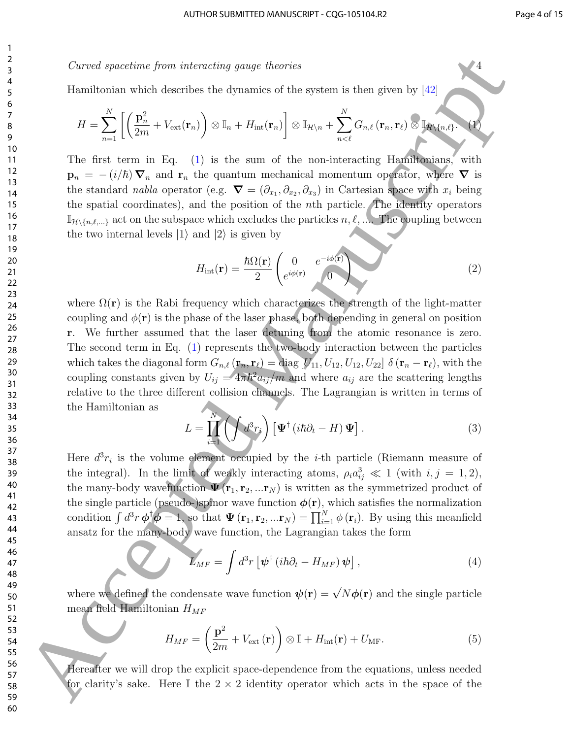Hamiltonian which describes the dynamics of the system is then given by [42]

$$
H = \sum_{n=1}^{N} \left[ \left( \frac{\mathbf{p}_n^2}{2m} + V_{\text{ext}}(\mathbf{r}_n) \right) \otimes \mathbb{I}_n + H_{\text{int}}(\mathbf{r}_n) \right] \otimes \mathbb{I}_{\mathcal{H}\backslash n} + \sum_{n<\ell}^{N} G_{n,\ell}(\mathbf{r}_n, \mathbf{r}_\ell) \otimes \mathbb{I}_{\mathcal{H}\backslash \{n,\ell\}}.
$$
 (1)

The first term in Eq. (1) is the sum of the non-interacting Hamiltonians, with  $\mathbf{p}_n = -\left(i/\hbar\right)\nabla_n$  and  $\mathbf{r}_n$  the quantum mechanical momentum operator, where  $\nabla$  is the standard *nabla* operator (e.g.  $\nabla = (\partial_{x_1}, \partial_{x_2}, \partial_{x_3})$  in Cartesian space with  $x_i$  being the spatial coordinates), and the position of the nth particle. The identity operators  $\mathbb{I}_{\mathcal{H}\setminus\{n,\ell,...\}}$  act on the subspace which excludes the particles  $n, \ell, ...$ . The coupling between the two internal levels  $|1\rangle$  and  $|2\rangle$  is given by

$$
H_{\rm int}(\mathbf{r}) = \frac{\hbar \Omega(\mathbf{r})}{2} \begin{pmatrix} 0 & e^{-i\phi(\mathbf{r})} \\ e^{i\phi(\mathbf{r})} & 0 \end{pmatrix}
$$
 (2)

where  $\Omega(\mathbf{r})$  is the Rabi frequency which characterizes the strength of the light-matter coupling and  $\phi(\mathbf{r})$  is the phase of the laser phase, both depending in general on position r. We further assumed that the laser detuning from the atomic resonance is zero. The second term in Eq. (1) represents the two-body interaction between the particles which takes the diagonal form  $G_{n,\ell} (\mathbf{r}_n, \mathbf{r}_\ell) = \text{diag} [U_{11}, U_{12}, U_{12}, U_{22}] \delta(\mathbf{r}_n - \mathbf{r}_\ell)$ , with the coupling constants given by  $U_{ij} = 4\pi\hbar^2 a_{ij}/m$  and where  $a_{ij}$  are the scattering lengths relative to the three different collision channels. The Lagrangian is written in terms of the Hamiltonian as Correct agachettens from interacting gange theories<br>  $\frac{2}{3}$ <br>
Formitures and side describes the byten in the system is the system in Eq. (2)<br>  $\frac{2}{3}$ <br>  $B = \sum_{n=1}^{\infty} \left[ \left( \frac{1}{2n} + V_{\text{tot}}(n_n) \right) \otimes T_{n+1} + H_{\text{tot}}(n_n) \$ 

$$
L = \prod_{i=1}^{N} \left( \int d^3 r_i \right) \left[ \mathbf{\Psi}^\dagger \left( i \hbar \partial_t - H \right) \mathbf{\Psi} \right]. \tag{3}
$$

Here  $d^3r_i$  is the volume element occupied by the *i*-th particle (Riemann measure of the integral). In the limit of weakly interacting atoms,  $\rho_i a_{ij}^3 \ll 1$  (with  $i, j = 1, 2$ ), the many-body wavefunction  $\Psi(\mathbf{r}_1, \mathbf{r}_2, \dots \mathbf{r}_N)$  is written as the symmetrized product of the single particle (pseudo-)spinor wave function  $\phi(\mathbf{r})$ , which satisfies the normalization condition  $\int d^3r \, \phi^\dagger \phi = 1$ , so that  $\Psi(\mathbf{r}_1, \mathbf{r}_2, ... \mathbf{r}_N) = \prod_{i=1}^N \phi(\mathbf{r}_i)$ . By using this meanfield ansatz for the many-body wave function, the Lagrangian takes the form

$$
L_{MF} = \int d^3r \left[ \boldsymbol{\psi}^\dagger \left( i\hbar \partial_t - H_{MF} \right) \boldsymbol{\psi} \right], \tag{4}
$$

where we defined the condensate wave function  $\psi(\mathbf{r}) = \sqrt{N} \phi(\mathbf{r})$  and the single particle mean field Hamiltonian  $H_{MF}$ 

$$
H_{MF} = \left(\frac{\mathbf{p}^2}{2m} + V_{\text{ext}}\left(\mathbf{r}\right)\right) \otimes \mathbb{I} + H_{\text{int}}(\mathbf{r}) + U_{\text{MF}}.\tag{5}
$$

Hereafter we will drop the explicit space-dependence from the equations, unless needed for clarity's sake. Here  $\mathbb{I}$  the  $2 \times 2$  identity operator which acts in the space of the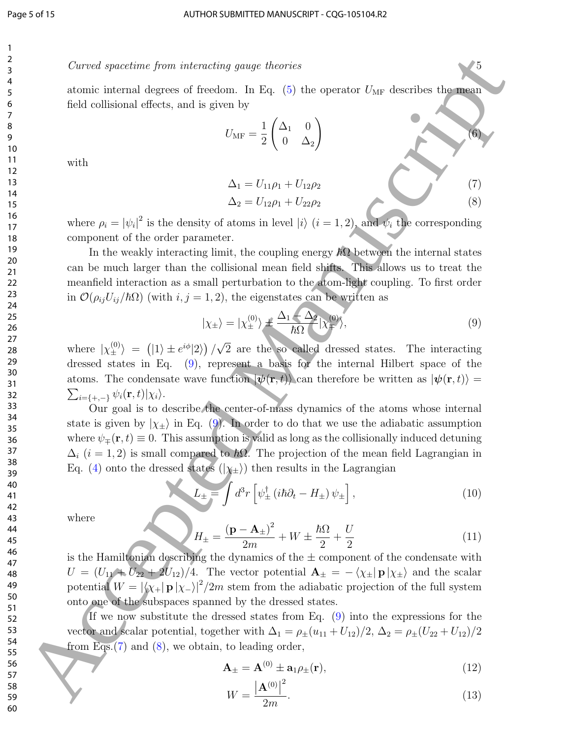atomic internal degrees of freedom. In Eq.  $(5)$  the operator  $U_{\text{MF}}$  describes the mean field collisional effects, and is given by

$$
U_{\rm MF} = \frac{1}{2} \begin{pmatrix} \Delta_1 & 0\\ 0 & \Delta_2 \end{pmatrix}
$$

with

$$
\Delta_1 = U_{11}\rho_1 + U_{12}\rho_2
$$
\n
$$
\Delta_2 = U_{12}\rho_1 + U_{22}\rho_2
$$
\n(3)

where  $\rho_i = |\psi_i|^2$  is the density of atoms in level  $|i\rangle$   $(i = 1, 2)$ , and  $\psi_i$  the corresponding component of the order parameter.

In the weakly interacting limit, the coupling energy  $\hbar\Omega$  between the internal states can be much larger than the collisional mean field shifts. This allows us to treat the meanfield interaction as a small perturbation to the atom-light coupling. To first order in  $\mathcal{O}(\rho_{ij}U_{ij}/\hbar\Omega)$  (with  $i, j = 1, 2$ ), the eigenstates can be written as

$$
|\chi_{\pm}\rangle = |\chi_{\pm}^{(0)}\rangle \pm \frac{\Delta_1 - \Delta_2}{\hbar \Omega} |\chi_{\mp}^{(0)}\rangle, \tag{9}
$$

(6)

where  $|\chi_{\pm}^{(0)}\rangle = (1) \pm e^{i\phi} |2\rangle$  / 2 are the so called dressed states. The interacting dressed states in Eq. (9), represent a basis for the internal Hilbert space of the atoms. The condensate wave function  $|\psi(\mathbf{r},t)\rangle$  can therefore be written as  $|\psi(\mathbf{r},t)\rangle$  =  $\sum_{i=\{+,-\}} \psi_i(\mathbf{r},t) |\chi_i\rangle.$ 

Our goal is to describe the center-of-mass dynamics of the atoms whose internal state is given by  $|\chi_{\pm}\rangle$  in Eq. (9). In order to do that we use the adiabatic assumption where  $\psi_{\pm}(\mathbf{r},t) \equiv 0$ . This assumption is valid as long as the collisionally induced detuning  $\Delta_i$  (i = 1, 2) is small compared to  $\hbar\Omega$ . The projection of the mean field Lagrangian in Eq. (4) onto the dressed states ( $|\chi_{\pm}\rangle$ ) then results in the Lagrangian Source agachtene from interaction gaspe theories<br>
about vinteral disperse of ference and the pressure from equinomer figures and is given by<br>  $V_{AB} = \frac{1}{2} \begin{pmatrix} \lambda_1 & 0 \\ 1 & \Delta_2 \end{pmatrix}$ <br>  $V_{AB} = \frac{1}{2} \begin{pmatrix} \lambda_1 & 0 \\ 0 & \Delta_2 \end$ 

$$
L_{\pm} = \int d^3r \left[ \psi_{\pm}^{\dagger} \left( i\hbar \partial_t - H_{\pm} \right) \psi_{\pm} \right], \tag{10}
$$

where

$$
H_{\pm} = \frac{(\mathbf{p} - \mathbf{A}_{\pm})^2}{2m} + W \pm \frac{\hbar \Omega}{2} + \frac{U}{2}
$$
 (11)

is the Hamiltonian describing the dynamics of the  $\pm$  component of the condensate with  $U = (U_{11} + U_{22} + 2U_{12})/4$ . The vector potential  $\mathbf{A}_{\pm} = -\langle \chi_{\pm} | \mathbf{p} | \chi_{\pm} \rangle$  and the scalar potential  $\overline{W} = |\langle \overline{\chi_+} | \mathbf{p} | \chi_- \rangle|^2 / 2m$  stem from the adiabatic projection of the full system onto one of the subspaces spanned by the dressed states.

If we now substitute the dressed states from Eq. (9) into the expressions for the vector and scalar potential, together with  $\Delta_1 = \rho_{\pm}(u_{11} + U_{12})/2$ ,  $\Delta_2 = \rho_{\pm}(U_{22} + U_{12})/2$ from Eqs. $(7)$  and  $(8)$ , we obtain, to leading order,

 $2212$ 

$$
\mathbf{A}_{\pm} = \mathbf{A}^{(0)} \pm \mathbf{a}_1 \rho_{\pm}(\mathbf{r}),\tag{12}
$$

$$
W = \frac{|\mathbf{A}^{(0)}|^2}{2m}.
$$
\n
$$
(13)
$$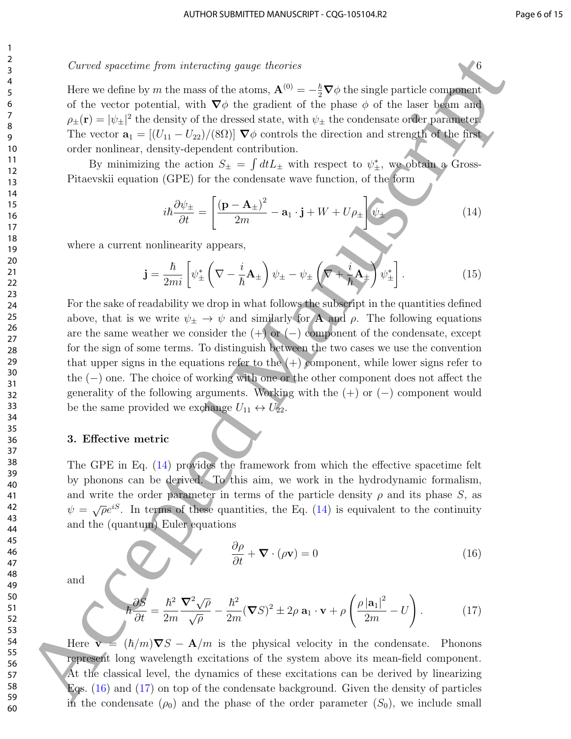$\emph{Curved spacetime from interacting gauge theories} \begin{equation} \begin{equation} \begin{array}{c} 6 \end{array} \end{equation}$ 

Here we define by m the mass of the atoms,  $\mathbf{A}^{(0)} = -\frac{\hbar}{2} \nabla \phi$  the single particle component of the vector potential, with  $\nabla \phi$  the gradient of the phase  $\phi$  of the laser beam and  $\rho_{\pm}(\mathbf{r}) = |\psi_{\pm}|^2$  the density of the dressed state, with  $\psi_{\pm}$  the condensate order parameter. The vector  $\mathbf{a}_1 = [(U_{11} - U_{22})/(8\Omega)] \nabla \phi$  controls the direction and strength of the first order nonlinear, density-dependent contribution.

By minimizing the action  $S_{\pm} = \int dt L_{\pm}$  with respect to  $\psi_{\pm}^*$ , we obtain a Gross-Pitaevskii equation (GPE) for the condensate wave function, of the form

$$
i\hbar \frac{\partial \psi_{\pm}}{\partial t} = \left[ \frac{(\mathbf{p} - \mathbf{A}_{\pm})^2}{2m} - \mathbf{a}_1 \cdot \mathbf{j} + W + U \rho_{\pm} \right] \psi_{\pm}
$$
(14)

where a current nonlinearity appears,

$$
\mathbf{j} = \frac{\hbar}{2mi} \left[ \psi_{\pm}^* \left( \nabla - \frac{i}{\hbar} \mathbf{A}_{\pm} \right) \psi_{\pm} - \psi_{\pm} \left( \nabla + \frac{i}{\hbar} \mathbf{A}_{\pm} \right) \psi_{\pm}^* \right]. \tag{15}
$$

For the sake of readability we drop in what follows the subscript in the quantities defined above, that is we write  $\psi_{\pm} \to \psi$  and similarly for **A** and  $\rho$ . The following equations are the same weather we consider the  $(+)$  or  $(-)$  component of the condensate, except for the sign of some terms. To distinguish between the two cases we use the convention that upper signs in the equations refer to the  $(+)$  component, while lower signs refer to the (−) one. The choice of working with one or the other component does not affect the generality of the following arguments. Working with the  $(+)$  or  $(-)$  component would be the same provided we exchange  $U_{11} \leftrightarrow U_{22}$ . Correct agachtene from interacting gange theories<br>
of the vector potential, with  $\nabla$  the temperature, Accepted Manuscript<br>
of the vector potential, with  $\nabla$  is the gradient of the phase of of the last baser model<br>
of

#### 3. Effective metric

The GPE in Eq. (14) provides the framework from which the effective spacetime felt by phonons can be derived. To this aim, we work in the hydrodynamic formalism, and write the order parameter in terms of the particle density  $\rho$  and its phase S, as  $\psi = \sqrt{\rho}e^{iS}$ . In terms of these quantities, the Eq. (14) is equivalent to the continuity and the (quantum) Euler equations

$$
\frac{\partial \rho}{\partial t} + \mathbf{\nabla} \cdot (\rho \mathbf{v}) = 0 \tag{16}
$$

and

$$
\hbar \frac{\partial S}{\partial t} = \frac{\hbar^2}{2m} \frac{\nabla^2 \sqrt{\rho}}{\sqrt{\rho}} - \frac{\hbar^2}{2m} (\nabla S)^2 \pm 2\rho \mathbf{a}_1 \cdot \mathbf{v} + \rho \left( \frac{\rho |\mathbf{a}_1|^2}{2m} - U \right).
$$
 (17)

Here  $\mathbf{v} = (\hbar/m)\nabla S - \mathbf{A}/m$  is the physical velocity in the condensate. Phonons represent long wavelength excitations of the system above its mean-field component. At the classical level, the dynamics of these excitations can be derived by linearizing Eqs. (16) and (17) on top of the condensate background. Given the density of particles in the condensate  $(\rho_0)$  and the phase of the order parameter  $(S_0)$ , we include small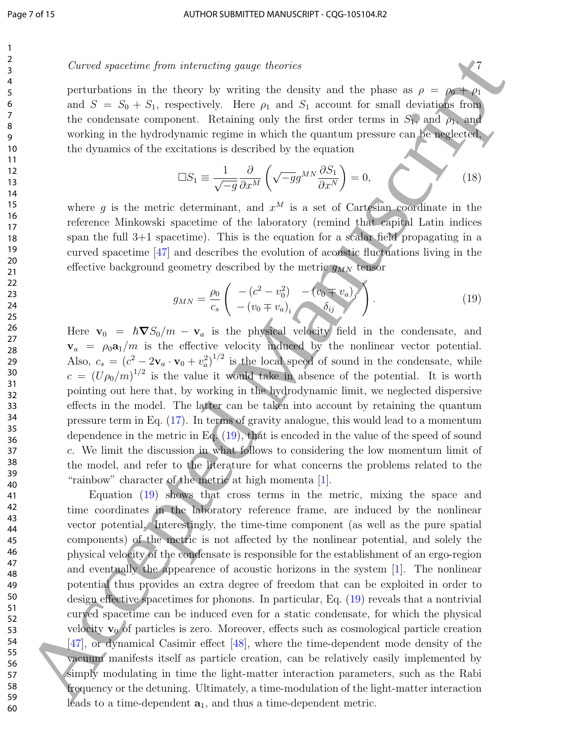perturbations in the theory by writing the density and the phase as  $\rho = \rho_0 + \rho_1$ and  $S = S_0 + S_1$ , respectively. Here  $\rho_1$  and  $S_1$  account for small deviations from the condensate component. Retaining only the first order terms in  $S_1$ , and  $\rho_1$ , and working in the hydrodynamic regime in which the quantum pressure can be neglected, the dynamics of the excitations is described by the equation

$$
\Box S_1 \equiv \frac{1}{\sqrt{-g}} \frac{\partial}{\partial x^M} \left( \sqrt{-g} g^{MN} \frac{\partial S_1}{\partial x^N} \right) = 0, \tag{18}
$$

where g is the metric determinant, and  $x^M$  is a set of Cartesian coordinate in the reference Minkowski spacetime of the laboratory (remind that capital Latin indices span the full 3+1 spacetime). This is the equation for a scalar field propagating in a curved spacetime [47] and describes the evolution of acoustic fluctuations living in the effective background geometry described by the metric  $q_{MN}$  tensor

$$
g_{MN} = \frac{\rho_0}{c_s} \left( \begin{array}{cc} -(c^2 - v_0^2) & -(v_0 + v_a)_j \\ -(v_0 + v_a)_i & \delta_{ij} \end{array} \right). \tag{19}
$$

Here  $\mathbf{v}_0 = \hbar \nabla S_0/m - \mathbf{v}_a$  is the physical velocity field in the condensate, and  $v_a = \rho_0 a_1/m$  is the effective velocity induced by the nonlinear vector potential. Also,  $c_s = (c^2 - 2v_a \cdot v_0 + v_a^2)^{1/2}$  is the local speed of sound in the condensate, while  $c = (U \rho_0/m)^{1/2}$  is the value it would take in absence of the potential. It is worth pointing out here that, by working in the hydrodynamic limit, we neglected dispersive effects in the model. The latter can be taken into account by retaining the quantum pressure term in Eq. (17). In terms of gravity analogue, this would lead to a momentum dependence in the metric in Eq. (19), that is encoded in the value of the speed of sound c. We limit the discussion in what follows to considering the low momentum limit of the model, and refer to the literature for what concerns the problems related to the "rainbow" character of the metric at high momenta [1].

Equation (19) shows that cross terms in the metric, mixing the space and time coordinates in the laboratory reference frame, are induced by the nonlinear vector potential. Interestingly, the time-time component (as well as the pure spatial components) of the metric is not affected by the nonlinear potential, and solely the physical velocity of the condensate is responsible for the establishment of an ergo-region and eventually the appearence of acoustic horizons in the system [1]. The nonlinear potential thus provides an extra degree of freedom that can be exploited in order to design effective spacetimes for phonons. In particular, Eq.  $(19)$  reveals that a nontrivial curved spacetime can be induced even for a static condensate, for which the physical velocity  $\mathbf{v}_0$  of particles is zero. Moreover, effects such as cosmological particle creation [47], or dynamical Casimir effect [48], where the time-dependent mode density of the vacuum manifests itself as particle creation, can be relatively easily implemented by simply modulating in time the light-matter interaction parameters, such as the Rabi frequency or the detuning. Ultimately, a time-modulation of the light-matter interaction leads to a time-dependent  $a_1$ , and thus a time-dependent metric. Source agreed<br>too interactive gaspe factories and the phase as  $\rho = \frac{1}{2}$  and<br> $\theta = 0.6$ . Expectively, while the shall yield the phase as<br> $\rho = \frac{1}{2}$  and S = 8. i. S., respectively. Here, a each S accent for small devia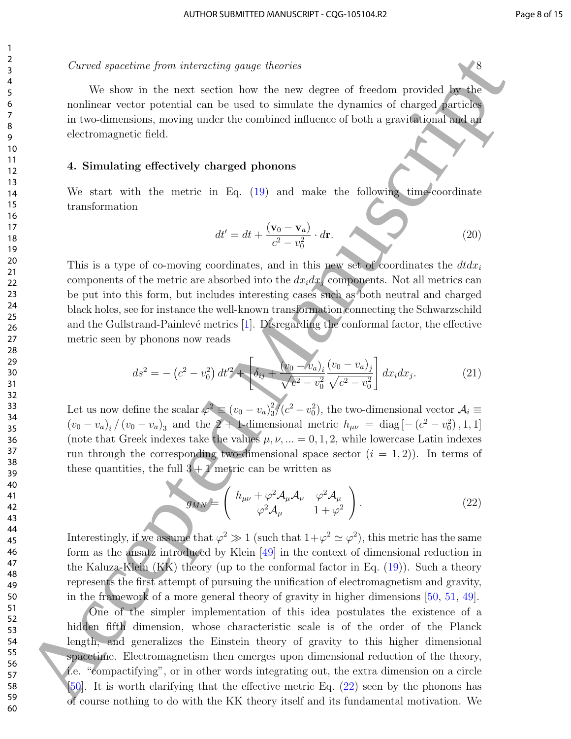#### Curved spacetime from interacting gauge theories 8

We show in the next section how the new degree of freedom provided by the nonlinear vector potential can be used to simulate the dynamics of charged particles in two-dimensions, moving under the combined influence of both a gravitational and an electromagnetic field.

#### 4. Simulating effectively charged phonons

We start with the metric in Eq.  $(19)$  and make the following time-coordinate transformation

$$
dt' = dt + \frac{(\mathbf{v}_0 - \mathbf{v}_a)}{c^2 - v_0^2} \cdot d\mathbf{r}.
$$
 (20)

This is a type of co-moving coordinates, and in this new set of coordinates the  $dtdx_i$ components of the metric are absorbed into the  $dx_i dx_j$  components. Not all metrics can be put into this form, but includes interesting cases such as both neutral and charged black holes, see for instance the well-known transformation connecting the Schwarzschild and the Gullstrand-Painlevé metrics  $[1]$ . Disregarding the conformal factor, the effective metric seen by phonons now reads

$$
ds^{2} = -\left(c^{2} - v_{0}^{2}\right)dt^{2} + \left[\delta_{ij} + \frac{(v_{0} - v_{a})_{i}}{\sqrt{c^{2} - v_{0}^{2}}}\frac{(v_{0} - v_{a})_{j}}{\sqrt{c^{2} - v_{0}^{2}}}\right]dx_{i}dx_{j}.
$$
 (21)

Let us now define the scalar  $\varphi^2 \equiv (v_0 - v_a)_3^2$  $\frac{2}{3}$ /( $c^2 - v_0^2$ ), the two-dimensional vector  $\mathcal{A}_i \equiv$  $(v_0 - v_a)_i / (v_0 - v_a)_3$  and the 2 + 1-dimensional metric  $h_{\mu\nu} = \text{diag}[-(c^2 - v_0^2), 1, 1]$ (note that Greek indexes take the values  $\mu, \nu, ... = 0, 1, 2$ , while lowercase Latin indexes run through the corresponding two-dimensional space sector  $(i = 1, 2)$ ). In terms of these quantities, the full  $3 + 1$  metric can be written as

$$
g_{MN} = \begin{pmatrix} h_{\mu\nu} + \varphi^2 \mathcal{A}_{\mu} \mathcal{A}_{\nu} & \varphi^2 \mathcal{A}_{\mu} \\ \varphi^2 \mathcal{A}_{\mu} & 1 + \varphi^2 \end{pmatrix} . \tag{22}
$$

Interestingly, if we assume that  $\varphi^2 \gg 1$  (such that  $1 + \varphi^2 \simeq \varphi^2$ ), this metric has the same form as the ansatz introduced by Klein [49] in the context of dimensional reduction in the Kaluza-Klein (KK) theory (up to the conformal factor in Eq. (19)). Such a theory represents the first attempt of pursuing the unification of electromagnetism and gravity, in the framework of a more general theory of gravity in higher dimensions [50, 51, 49].

One of the simpler implementation of this idea postulates the existence of a hidden fifth dimension, whose characteristic scale is of the order of the Planck length, and generalizes the Einstein theory of gravity to this higher dimensional spacetime. Electromagnetism then emerges upon dimensional reduction of the theory, i.e. "compactifying", or in other words integrating out, the extra dimension on a circle [50]. It is worth clarifying that the effective metric Eq. (22) seen by the phonons has of course nothing to do with the KK theory itself and its fundamental motivation. We General spacetives from interacting scale theorem degree is lined in the set of the set of the set of the set of the set of the set of the set of the set of the set of the set of the set of the set of the set of the set o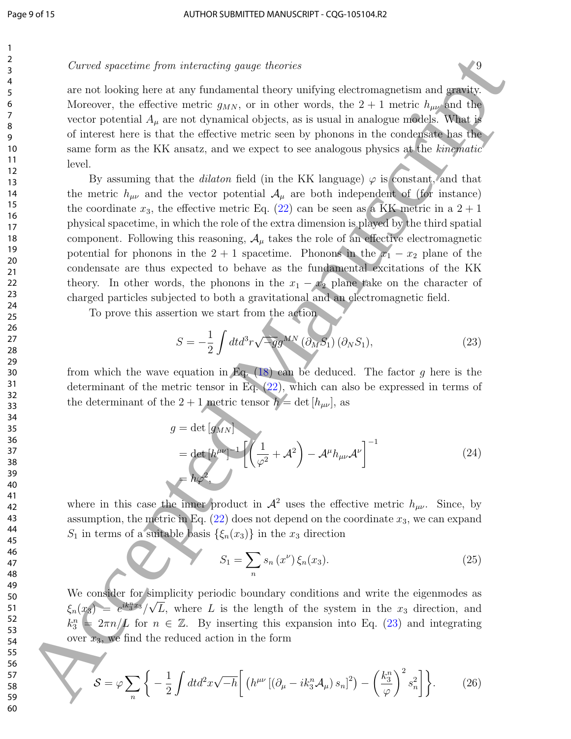are not looking here at any fundamental theory unifying electromagnetism and gravity. Moreover, the effective metric  $g_{MN}$ , or in other words, the 2 + 1 metric  $h_{\mu\nu}$  and the vector potential  $A_\mu$  are not dynamical objects, as is usual in analogue models. What is of interest here is that the effective metric seen by phonons in the condensate has the same form as the KK ansatz, and we expect to see analogous physics at the *kinematic* level.

By assuming that the *dilaton* field (in the KK language)  $\varphi$  is constant, and that the metric  $h_{\mu\nu}$  and the vector potential  $\mathcal{A}_{\mu}$  are both independent of (for instance) the coordinate  $x_3$ , the effective metric Eq. (22) can be seen as a KK metric in a  $2+1$ physical spacetime, in which the role of the extra dimension is played by the third spatial component. Following this reasoning,  $A_{\mu}$  takes the role of an effective electromagnetic potential for phonons in the 2 + 1 spacetime. Phonons in the  $x_1 - x_2$  plane of the condensate are thus expected to behave as the fundamental excitations of the KK theory. In other words, the phonons in the  $x_1 - x_2$  plane take on the character of charged particles subjected to both a gravitational and an electromagnetic field. Correct agachettres from interacting group theories<br>  $\frac{2}{3}$  correct agachettres at the correction of the symphonization and signature interaction of the symphonization of the symphonization of the symphonization of the

To prove this assertion we start from the action

$$
S = -\frac{1}{2} \int dt d^3r \sqrt{-g} g^{MN} \left( \partial_M S_1 \right) \left( \partial_N S_1 \right), \tag{23}
$$

from which the wave equation in Eq.  $(18)$  can be deduced. The factor g here is the determinant of the metric tensor in Eq. (22), which can also be expressed in terms of the determinant of the 2 + 1 metric tensor  $h = \det [h_{\mu\nu}]$ , as

$$
g = \det [g_{MN}]
$$
  
= det  $[h^{\mu\nu}]^{-1}$  $\left[ \left( \frac{1}{\varphi^2} + A^2 \right) - A^{\mu} h_{\mu\nu} A^{\nu} \right]^{-1}$  (24)  
=  $h\varphi^2$ ,

where in this case the inner product in  $\mathcal{A}^2$  uses the effective metric  $h_{\mu\nu}$ . Since, by assumption, the metric in Eq.  $(22)$  does not depend on the coordinate  $x_3$ , we can expand  $S_1$  in terms of a suitable basis  $\{\xi_n(x_3)\}\$ in the  $x_3$  direction

$$
S_1 = \sum_n s_n(x^{\nu}) \xi_n(x_3).
$$
 (25)

We consider for simplicity periodic boundary conditions and write the eigenmodes as  $\xi_n(x_3) = e^{ik_3^nx_3}/\sqrt{L}$ , where L is the length of the system in the  $x_3$  direction, and  $k_3^n = 2\pi n/L$  for  $n \in \mathbb{Z}$ . By inserting this expansion into Eq. (23) and integrating over  $x_3$ , we find the reduced action in the form

$$
\mathcal{S} = \varphi \sum_{n} \left\{ -\frac{1}{2} \int dt d^2x \sqrt{-h} \left[ \left( h^{\mu\nu} \left[ \left( \partial_{\mu} - ik_3^n \mathcal{A}_{\mu} \right) s_n \right]^2 \right) - \left( \frac{k_3^n}{\varphi} \right)^2 s_n^2 \right] \right\}.
$$
 (26)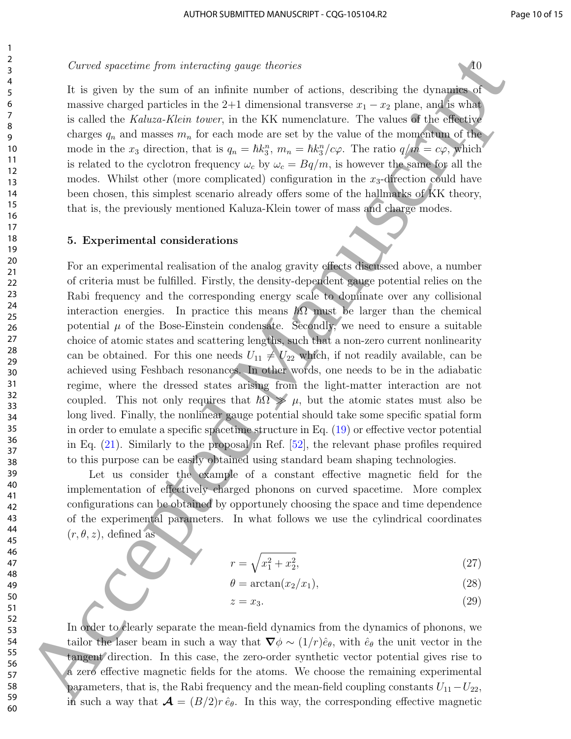It is given by the sum of an infinite number of actions, describing the dynamics of massive charged particles in the 2+1 dimensional transverse  $x_1 - x_2$  plane, and is what is called the Kaluza-Klein tower, in the KK numenclature. The values of the effective charges  $q_n$  and masses  $m_n$  for each mode are set by the value of the momentum of the mode in the  $x_3$  direction, that is  $q_n = \hbar k_3^n$ ,  $m_n = \hbar k_3^n/c\varphi$ . The ratio  $q/m = c\varphi$ , which is related to the cyclotron frequency  $\omega_c$  by  $\omega_c = Bq/m$ , is however the same for all the modes. Whilst other (more complicated) configuration in the  $x_3$ -direction could have been chosen, this simplest scenario already offers some of the hallmarks of KK theory, that is, the previously mentioned Kaluza-Klein tower of mass and charge modes.

#### 5. Experimental considerations

For an experimental realisation of the analog gravity effects discussed above, a number of criteria must be fulfilled. Firstly, the density-dependent gauge potential relies on the Rabi frequency and the corresponding energy scale to dominate over any collisional interaction energies. In practice this means  $\hbar\Omega$  must be larger than the chemical potential  $\mu$  of the Bose-Einstein condensate. Secondly, we need to ensure a suitable choice of atomic states and scattering lengths, such that a non-zero current nonlinearity can be obtained. For this one needs  $U_{11} \neq U_{22}$  which, if not readily available, can be achieved using Feshbach resonances. In other words, one needs to be in the adiabatic regime, where the dressed states arising from the light-matter interaction are not coupled. This not only requires that  $\hbar\Omega \gg \mu$ , but the atomic states must also be long lived. Finally, the nonlinear gauge potential should take some specific spatial form in order to emulate a specific spacetime structure in Eq. (19) or effective vector potential in Eq. (21). Similarly to the proposal in Ref. [52], the relevant phase profiles required to this purpose can be easily obtained using standard beam shaping technologies. Correct agachtene from interacting gange theories<br>
5 Accepte the animal of infinite multi-multi-multi-multi-multi-multi-multi-multi-multi-multi-multi-multi-multi-multi-multi-multi-multi-multi-multi-multi-multi-multi-multi

Let us consider the example of a constant effective magnetic field for the implementation of effectively charged phonons on curved spacetime. More complex configurations can be obtained by opportunely choosing the space and time dependence of the experimental parameters. In what follows we use the cylindrical coordinates  $(r, \theta, z)$ , defined as

$$
r = \sqrt{x_1^2 + x_2^2},\tag{27}
$$

$$
\theta = \arctan(x_2/x_1),\tag{28}
$$

$$
z = x_3. \tag{29}
$$

In order to clearly separate the mean-field dynamics from the dynamics of phonons, we tailor the laser beam in such a way that  $\nabla \phi \sim (1/r)\hat{e}_{\theta}$ , with  $\hat{e}_{\theta}$  the unit vector in the tangent direction. In this case, the zero-order synthetic vector potential gives rise to a zero effective magnetic fields for the atoms. We choose the remaining experimental parameters, that is, the Rabi frequency and the mean-field coupling constants  $U_{11}-U_{22}$ , in such a way that  $\mathcal{A} = (B/2)r \hat{e}_{\theta}$ . In this way, the corresponding effective magnetic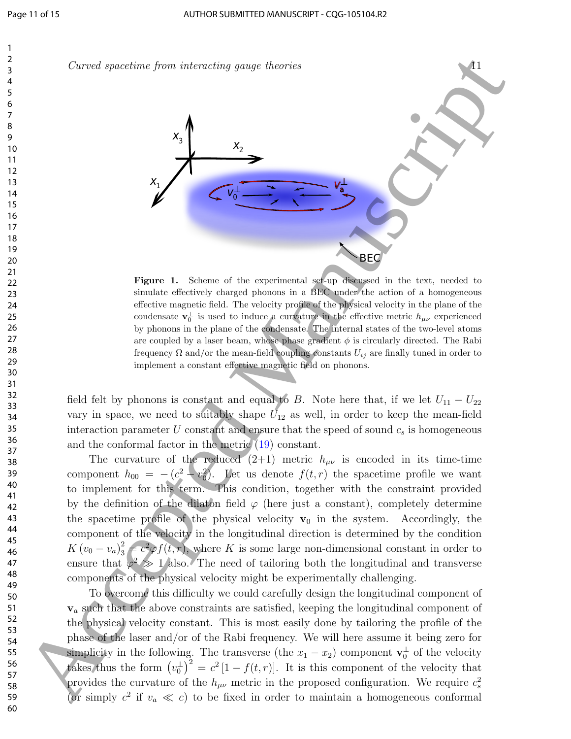

Figure 1. Scheme of the experimental set-up discussed in the text, needed to simulate effectively charged phonons in a BEC under the action of a homogeneous effective magnetic field. The velocity profile of the physical velocity in the plane of the condensate  $\mathbf{v}_0^{\perp}$  is used to induce a curvature in the effective metric  $h_{\mu\nu}$  experienced by phonons in the plane of the condensate. The internal states of the two-level atoms are coupled by a laser beam, whose phase gradient  $\phi$  is circularly directed. The Rabi frequency  $\Omega$  and/or the mean-field coupling constants  $U_{ij}$  are finally tuned in order to implement a constant effective magnetic field on phonons.

field felt by phonons is constant and equal to B. Note here that, if we let  $U_{11} - U_{22}$ vary in space, we need to suitably shape  $U_{12}$  as well, in order to keep the mean-field interaction parameter  $U$  constant and ensure that the speed of sound  $c_s$  is homogeneous and the conformal factor in the metric (19) constant.

The curvature of the reduced  $(2+1)$  metric  $h_{\mu\nu}$  is encoded in its time-time component  $h_{00} = -(c^2 + v_0^2)$ . Let us denote  $f(t,r)$  the spacetime profile we want to implement for this term. This condition, together with the constraint provided by the definition of the dilaton field  $\varphi$  (here just a constant), completely determine the spacetime profile of the physical velocity  $\mathbf{v}_0$  in the system. Accordingly, the component of the velocity in the longitudinal direction is determined by the condition  $K(v_0 - v_a)_3^2 = c^2 \varphi f(t, r)$ , where K is some large non-dimensional constant in order to ensure that  $\varphi^2 \gg 1$  also. The need of tailoring both the longitudinal and transverse components of the physical velocity might be experimentally challenging.

To overcome this difficulty we could carefully design the longitudinal component of  $v_a$  such that the above constraints are satisfied, keeping the longitudinal component of the physical velocity constant. This is most easily done by tailoring the profile of the phase of the laser and/or of the Rabi frequency. We will here assume it being zero for simplicity in the following. The transverse (the  $x_1 - x_2$ ) component  $\mathbf{v}_0^{\perp}$  of the velocity takes thus the form  $(v_0^{\perp})^2 = c^2 [1 - f(t, r)]$ . It is this component of the velocity that provides the curvature of the  $h_{\mu\nu}$  metric in the proposed configuration. We require  $c_s^2$ (or simply  $c^2$  if  $v_a \ll c$ ) to be fixed in order to maintain a homogeneous conformal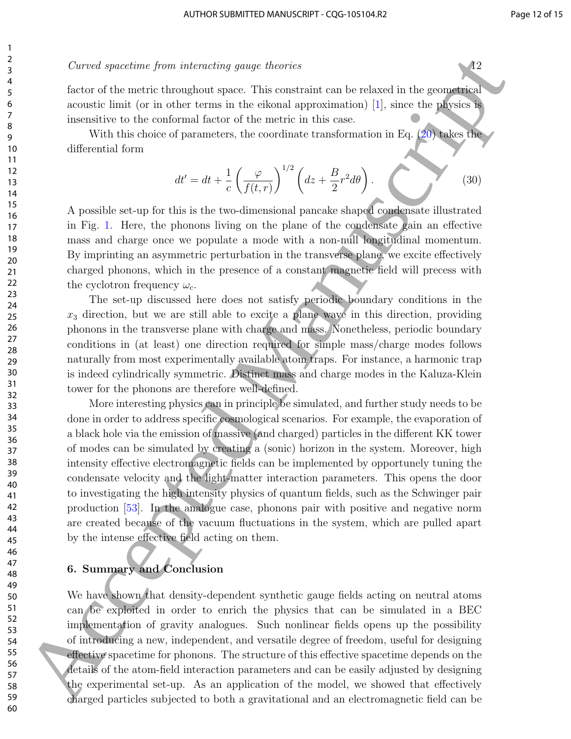factor of the metric throughout space. This constraint can be relaxed in the geometrical acoustic limit (or in other terms in the eikonal approximation) [1], since the physics is insensitive to the conformal factor of the metric in this case.

With this choice of parameters, the coordinate transformation in Eq. (20) takes the differential form

$$
dt' = dt + \frac{1}{c} \left( \frac{\varphi}{f(t,r)} \right)^{1/2} \left( dz + \frac{B}{2} r^2 d\theta \right). \tag{30}
$$

A possible set-up for this is the two-dimensional pancake shaped condensate illustrated in Fig. 1. Here, the phonons living on the plane of the condensate gain an effective mass and charge once we populate a mode with a non-null longitudinal momentum. By imprinting an asymmetric perturbation in the transverse plane, we excite effectively charged phonons, which in the presence of a constant magnetic field will precess with the cyclotron frequency  $\omega_c$ .

The set-up discussed here does not satisfy periodic boundary conditions in the  $x_3$  direction, but we are still able to excite a plane wave in this direction, providing phonons in the transverse plane with charge and mass. Nonetheless, periodic boundary conditions in (at least) one direction required for simple mass/charge modes follows naturally from most experimentally available atom traps. For instance, a harmonic trap is indeed cylindrically symmetric. Distinct mass and charge modes in the Kaluza-Klein tower for the phonons are therefore well-defined.

More interesting physics can in principle be simulated, and further study needs to be done in order to address specific cosmological scenarios. For example, the evaporation of a black hole via the emission of massive (and charged) particles in the different KK tower of modes can be simulated by creating a (sonic) horizon in the system. Moreover, high intensity effective electromagnetic fields can be implemented by opportunely tuning the condensate velocity and the light-matter interaction parameters. This opens the door to investigating the high intensity physics of quantum fields, such as the Schwinger pair production [53]. In the analogue case, phonons pair with positive and negative norm are created because of the vacuum fluctuations in the system, which are pulled apart by the intense effective field acting on them. Correct spacetives from interacting scape facential<br>seconds in the control matrix in the control manuscript interaction of the control manuscript<br>seconds into the interaction in the distort expectence<br>into the interaction

## 6. Summary and Conclusion

We have shown that density-dependent synthetic gauge fields acting on neutral atoms can be exploited in order to enrich the physics that can be simulated in a BEC implementation of gravity analogues. Such nonlinear fields opens up the possibility of introducing a new, independent, and versatile degree of freedom, useful for designing effective spacetime for phonons. The structure of this effective spacetime depends on the details of the atom-field interaction parameters and can be easily adjusted by designing the experimental set-up. As an application of the model, we showed that effectively charged particles subjected to both a gravitational and an electromagnetic field can be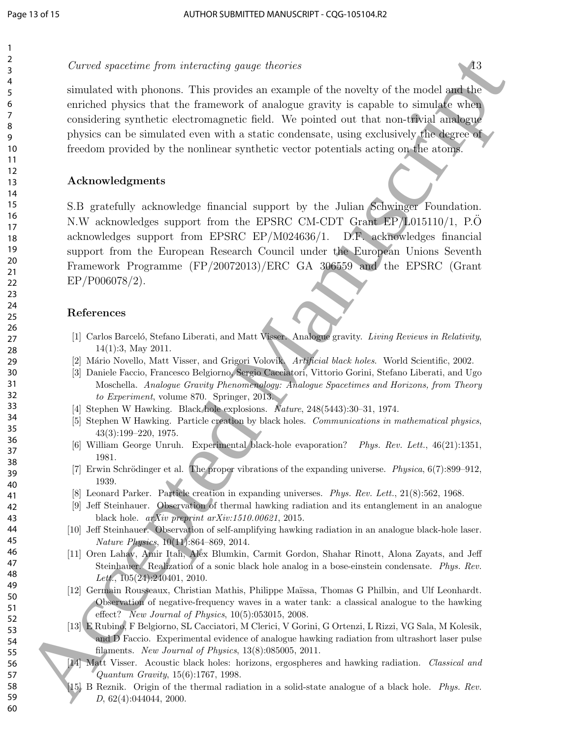simulated with phonons. This provides an example of the novelty of the model and the enriched physics that the framework of analogue gravity is capable to simulate when considering synthetic electromagnetic field. We pointed out that non-trivial analogue physics can be simulated even with a static condensate, using exclusively the degree of freedom provided by the nonlinear synthetic vector potentials acting on the atoms.

# Acknowledgments

S.B gratefully acknowledge financial support by the Julian Schwinger Foundation. N.W acknowledges support from the EPSRC CM-CDT Grant EP/L015110/1, P.O¨ acknowledges support from EPSRC EP/M024636/1. D.F. acknowledges financial support from the European Research Council under the European Unions Seventh Framework Programme (FP/20072013)/ERC GA 306559 and the EPSRC (Grant EP/P006078/2). Correct systems from thermode system force is a measurement of the model system contribute of the probability of the model system contribute of the system of the system contribute of the system contribute of the system of

# References

- [1] Carlos Barceló, Stefano Liberati, and Matt Visser. Analogue gravity. Living Reviews in Relativity, 14(1):3, May 2011.
- [2] Mário Novello, Matt Visser, and Grigori Volovik. Artificial black holes. World Scientific, 2002.
- [3] Daniele Faccio, Francesco Belgiorno, Sergio Cacciatori, Vittorio Gorini, Stefano Liberati, and Ugo Moschella. Analogue Gravity Phenomenology: Analogue Spacetimes and Horizons, from Theory to Experiment, volume 870. Springer, 2013.
- [4] Stephen W Hawking. Black hole explosions. Nature, 248(5443):30–31, 1974.
- [5] Stephen W Hawking. Particle creation by black holes. Communications in mathematical physics, 43(3):199–220, 1975.
- [6] William George Unruh. Experimental black-hole evaporation? Phys. Rev. Lett., 46(21):1351, 1981.
- [7] Erwin Schrödinger et al. The proper vibrations of the expanding universe. *Physica*, 6(7):899–912, 1939.
- [8] Leonard Parker. Particle creation in expanding universes. Phys. Rev. Lett., 21(8):562, 1968.
- [9] Jeff Steinhauer. Observation of thermal hawking radiation and its entanglement in an analogue black hole. arXiv preprint arXiv:1510.00621, 2015.
- [10] Jeff Steinhauer. Observation of self-amplifying hawking radiation in an analogue black-hole laser. Nature Physics, 10(11):864–869, 2014.
- [11] Oren Lahav, Amir Itah, Alex Blumkin, Carmit Gordon, Shahar Rinott, Alona Zayats, and Jeff Steinhauer. Realization of a sonic black hole analog in a bose-einstein condensate. Phys. Rev. Lett., 105(24):240401, 2010.
- [12] Germain Rousseaux, Christian Mathis, Philippe Maïssa, Thomas G Philbin, and Ulf Leonhardt. Observation of negative-frequency waves in a water tank: a classical analogue to the hawking effect? New Journal of Physics, 10(5):053015, 2008.
- [13] E Rubino, F Belgiorno, SL Cacciatori, M Clerici, V Gorini, G Ortenzi, L Rizzi, VG Sala, M Kolesik, and D Faccio. Experimental evidence of analogue hawking radiation from ultrashort laser pulse filaments. New Journal of Physics, 13(8):085005, 2011.
- [14] Matt Visser. Acoustic black holes: horizons, ergospheres and hawking radiation. Classical and Quantum Gravity, 15(6):1767, 1998.
- [15] B Reznik. Origin of the thermal radiation in a solid-state analogue of a black hole. *Phys. Rev.* D, 62(4):044044, 2000.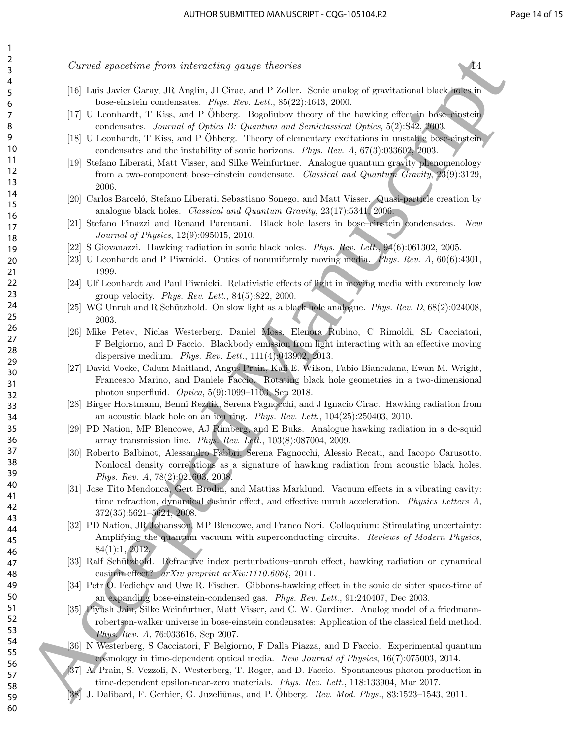| S                                 |
|-----------------------------------|
| ı                                 |
| $\overline{\phantom{a}}$          |
| ť                                 |
|                                   |
|                                   |
| J                                 |
| 10                                |
|                                   |
| 1<br>ı                            |
| 1<br>,                            |
| 1                                 |
| į<br>1                            |
| l!                                |
| 16                                |
| 1                                 |
| 18<br>3                           |
| 19<br>9                           |
| $\overline{20}$                   |
| $\overline{2}$<br>1               |
| $\overline{\mathbf{r}}$<br>,      |
| $\frac{1}{2}$<br>ξ                |
| $\frac{24}{3}$                    |
| $\overline{\mathbf{r}}$           |
| $\frac{2}{5}$                     |
|                                   |
| $\overline{2}$                    |
| 28                                |
| $\overline{2}$<br>9               |
| 3O                                |
| š<br>1                            |
| 3<br>,                            |
| 3                                 |
| ξ<br>ļ                            |
| ś!                                |
| βÉ                                |
| $\overline{\mathbf{S}}$           |
| $\overline{\mathbf{S}}$<br>ξ<br>j |
| .<br>39                           |
| Ļ                                 |
| 41                                |
| 4<br>2                            |
|                                   |
| 4 <sup>2</sup><br>ξ               |
| 44                                |
| 45                                |
| 46                                |
| 4                                 |
| 48                                |
| 49                                |
| l<br>50                           |
| 5<br>l<br>1                       |
| 5<br>l<br>2                       |
| $\overline{\mathbf{5}}$<br>l<br>ξ |
| $\overline{5}4$<br>l              |
| 5ś<br>l                           |
| $\overline{\delta}$<br>l          |
| $\overline{\phantom{a}}$<br>l     |
| 58<br>l                           |
| 59<br>l                           |
|                                   |
| 60                                |

Curved spacetime from interacting gauge theories 14

- [16] Luis Javier Garay, JR Anglin, JI Cirac, and P Zoller. Sonic analog of gravitational black holes in bose-einstein condensates. Phys. Rev. Lett., 85(22):4643, 2000.
- [17] U Leonhardt, T Kiss, and P Öhberg. Bogoliubov theory of the hawking effect in bose–einstein condensates. Journal of Optics B: Quantum and Semiclassical Optics, 5(2):S42, 2003.
- [18] U Leonhardt, T Kiss, and P Öhberg. Theory of elementary excitations in unstable bose-einstein condensates and the instability of sonic horizons. Phys. Rev. A, 67(3):033602, 2003.
- [19] Stefano Liberati, Matt Visser, and Silke Weinfurtner. Analogue quantum gravity phenomenology from a two-component bose–einstein condensate. Classical and Quantum Gravity, 23(9):3129, 2006. Correlation from interacting pany fictorize<br>
(ii) For Facture (Target Accession Accession Manuscript Accession Manuscript Accession Manuscript Accession Manuscript Accession Manuscript Accessive Manuscript Accessive Manus
	- [20] Carlos Barceló, Stefano Liberati, Sebastiano Sonego, and Matt Visser. Quasi-particle creation by analogue black holes. Classical and Quantum Gravity, 23(17):5341, 2006.
	- [21] Stefano Finazzi and Renaud Parentani. Black hole lasers in bose–einstein condensates. New Journal of Physics, 12(9):095015, 2010.
	- [22] S Giovanazzi. Hawking radiation in sonic black holes. Phys. Rev. Lett., 94(6):061302, 2005.
	- [23] U Leonhardt and P Piwnicki. Optics of nonuniformly moving media. Phys. Rev. A, 60(6):4301, 1999.
	- [24] Ulf Leonhardt and Paul Piwnicki. Relativistic effects of light in moving media with extremely low group velocity. *Phys. Rev. Lett.*,  $84(5):822$ ,  $2000$ .
	- [25] WG Unruh and R Schützhold. On slow light as a black hole analogue. Phys. Rev. D,  $68(2):024008$ , 2003.
	- [26] Mike Petev, Niclas Westerberg, Daniel Moss, Elenora Rubino, C Rimoldi, SL Cacciatori, F Belgiorno, and D Faccio. Blackbody emission from light interacting with an effective moving dispersive medium. Phys. Rev. Lett., 111(4):043902, 2013.
	- [27] David Vocke, Calum Maitland, Angus Prain, Kali E. Wilson, Fabio Biancalana, Ewan M. Wright, Francesco Marino, and Daniele Faccio. Rotating black hole geometries in a two-dimensional photon superfluid. Optica, 5(9):1099–1103, Sep 2018.
	- [28] Birger Horstmann, Benni Reznik, Serena Fagnocchi, and J Ignacio Cirac. Hawking radiation from an acoustic black hole on an ion ring. Phys. Rev. Lett., 104(25):250403, 2010.
	- [29] PD Nation, MP Blencowe, AJ Rimberg, and E Buks. Analogue hawking radiation in a dc-squid array transmission line. Phys. Rev. Lett., 103(8):087004, 2009.
	- [30] Roberto Balbinot, Alessandro Fabbri, Serena Fagnocchi, Alessio Recati, and Iacopo Carusotto. Nonlocal density correlations as a signature of hawking radiation from acoustic black holes. Phys. Rev. A, 78(2):021603, 2008.
	- [31] Jose Tito Mendonca, Gert Brodin, and Mattias Marklund. Vacuum effects in a vibrating cavity: time refraction, dynamical casimir effect, and effective unruh acceleration. Physics Letters A, 372(35):5621–5624, 2008.
	- [32] PD Nation, JR Johansson, MP Blencowe, and Franco Nori. Colloquium: Stimulating uncertainty: Amplifying the quantum vacuum with superconducting circuits. Reviews of Modern Physics, 84(1):1, 2012.
	- [33] Ralf Schützhold. Refractive index perturbations–unruh effect, hawking radiation or dynamical casimir effect? arXiv preprint arXiv:1110.6064, 2011.
	- [34] Petr O. Fedichev and Uwe R. Fischer. Gibbons-hawking effect in the sonic de sitter space-time of an expanding bose-einstein-condensed gas. Phys. Rev. Lett., 91:240407, Dec 2003.
	- [35] Piyush Jain, Silke Weinfurtner, Matt Visser, and C. W. Gardiner. Analog model of a friedmannrobertson-walker universe in bose-einstein condensates: Application of the classical field method. Phys. Rev. A, 76:033616, Sep 2007.
	- [36] N Westerberg, S Cacciatori, F Belgiorno, F Dalla Piazza, and D Faccio. Experimental quantum cosmology in time-dependent optical media. New Journal of Physics, 16(7):075003, 2014.
	- [37] A. Prain, S. Vezzoli, N. Westerberg, T. Roger, and D. Faccio. Spontaneous photon production in time-dependent epsilon-near-zero materials. Phys. Rev. Lett., 118:133904, Mar 2017.
	- [38] J. Dalibard, F. Gerbier, G. Juzeliūnas, and P. Öhberg.  $Rev. Mod. Phys.$ , 83:1523–1543, 2011.